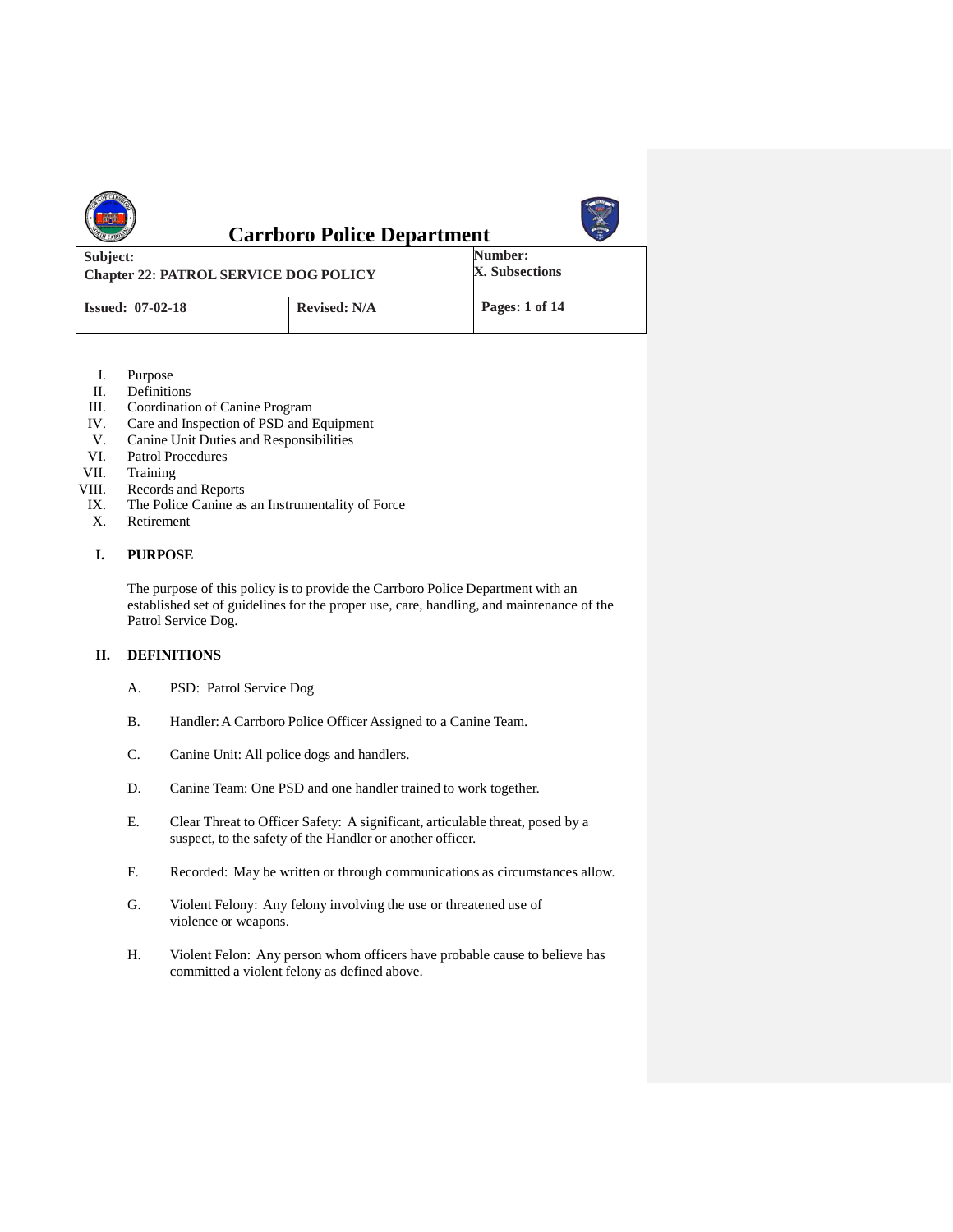|                                                          | <b>Carrboro Police Department</b> |                           |
|----------------------------------------------------------|-----------------------------------|---------------------------|
| Subject:<br><b>Chapter 22: PATROL SERVICE DOG POLICY</b> |                                   | Number:<br>X. Subsections |
| <b>Issued: 07-02-18</b>                                  | <b>Revised: N/A</b>               | Pages: 1 of 14            |

- I. Purpose<br>II. Definition
- II. Definitions<br>III. Coordination
- III. Coordination of Canine Program<br>IV. Care and Inspection of PSD and I
- IV. Care and Inspection of PSD and Equipment<br>V. Canine Unit Duties and Responsibilities
- V. Canine Unit Duties and Responsibilities
- VI. Patrol Procedures<br>VII. Training
- VII. Training<br>VIII. Records
- Records and Reports
- IX. The Police Canine as an Instrumentality of Force
- X. Retirement

## **I. PURPOSE**

The purpose of this policy is to provide the Carrboro Police Department with an established set of guidelines for the proper use, care, handling, and maintenance of the Patrol Service Dog.

# **II. DEFINITIONS**

- A. PSD: Patrol Service Dog
- B. Handler: A Carrboro Police Officer Assigned to a Canine Team.
- C. Canine Unit: All police dogs and handlers.
- D. Canine Team: One PSD and one handler trained to work together.
- E. Clear Threat to Officer Safety: A significant, articulable threat, posed by a suspect, to the safety of the Handler or another officer.
- F. Recorded: May be written or through communications as circumstances allow.
- G. Violent Felony: Any felony involving the use or threatened use of violence or weapons.
- H. Violent Felon: Any person whom officers have probable cause to believe has committed a violent felony as defined above.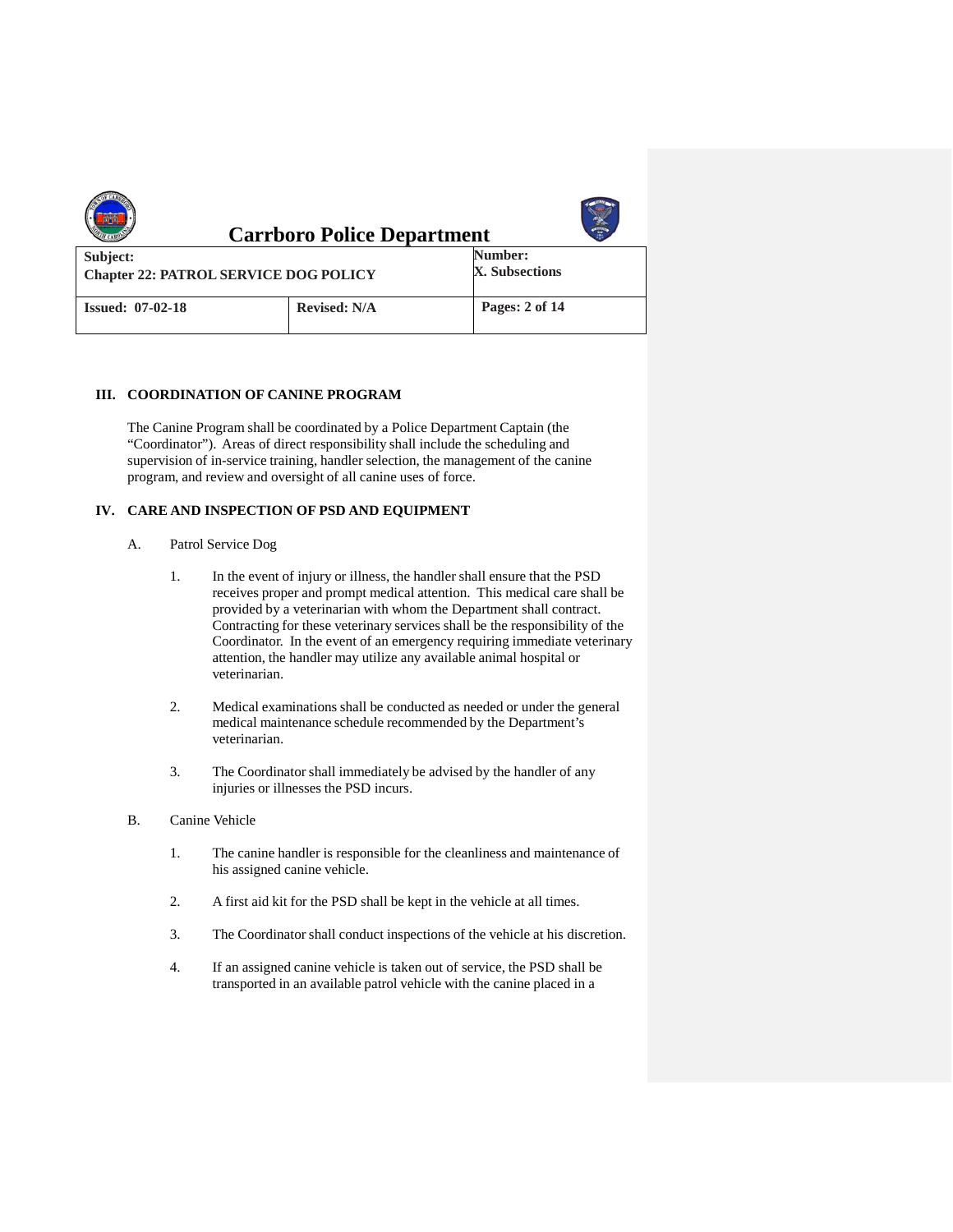|                                                          | <b>Carrboro Police Department</b> |                           |
|----------------------------------------------------------|-----------------------------------|---------------------------|
| Subject:<br><b>Chapter 22: PATROL SERVICE DOG POLICY</b> |                                   | Number:<br>X. Subsections |
| <b>Issued: 07-02-18</b>                                  | <b>Revised: N/A</b>               | Pages: 2 of 14            |

#### **III. COORDINATION OF CANINE PROGRAM**

The Canine Program shall be coordinated by a Police Department Captain (the "Coordinator"). Areas of direct responsibility shall include the scheduling and supervision of in-service training, handler selection, the management of the canine program, and review and oversight of all canine uses of force.

#### **IV. CARE AND INSPECTION OF PSD AND EQUIPMENT**

- A. Patrol Service Dog
	- 1. In the event of injury or illness, the handler shall ensure that the PSD receives proper and prompt medical attention. This medical care shall be provided by a veterinarian with whom the Department shall contract. Contracting for these veterinary services shall be the responsibility of the Coordinator. In the event of an emergency requiring immediate veterinary attention, the handler may utilize any available animal hospital or veterinarian.
	- 2. Medical examinations shall be conducted as needed or under the general medical maintenance schedule recommended by the Department's veterinarian.
	- 3. The Coordinator shall immediately be advised by the handler of any injuries or illnesses the PSD incurs.
- B. Canine Vehicle
	- 1. The canine handler is responsible for the cleanliness and maintenance of his assigned canine vehicle.
	- 2. A first aid kit for the PSD shall be kept in the vehicle at all times.
	- 3. The Coordinator shall conduct inspections of the vehicle at his discretion.
	- 4. If an assigned canine vehicle is taken out of service, the PSD shall be transported in an available patrol vehicle with the canine placed in a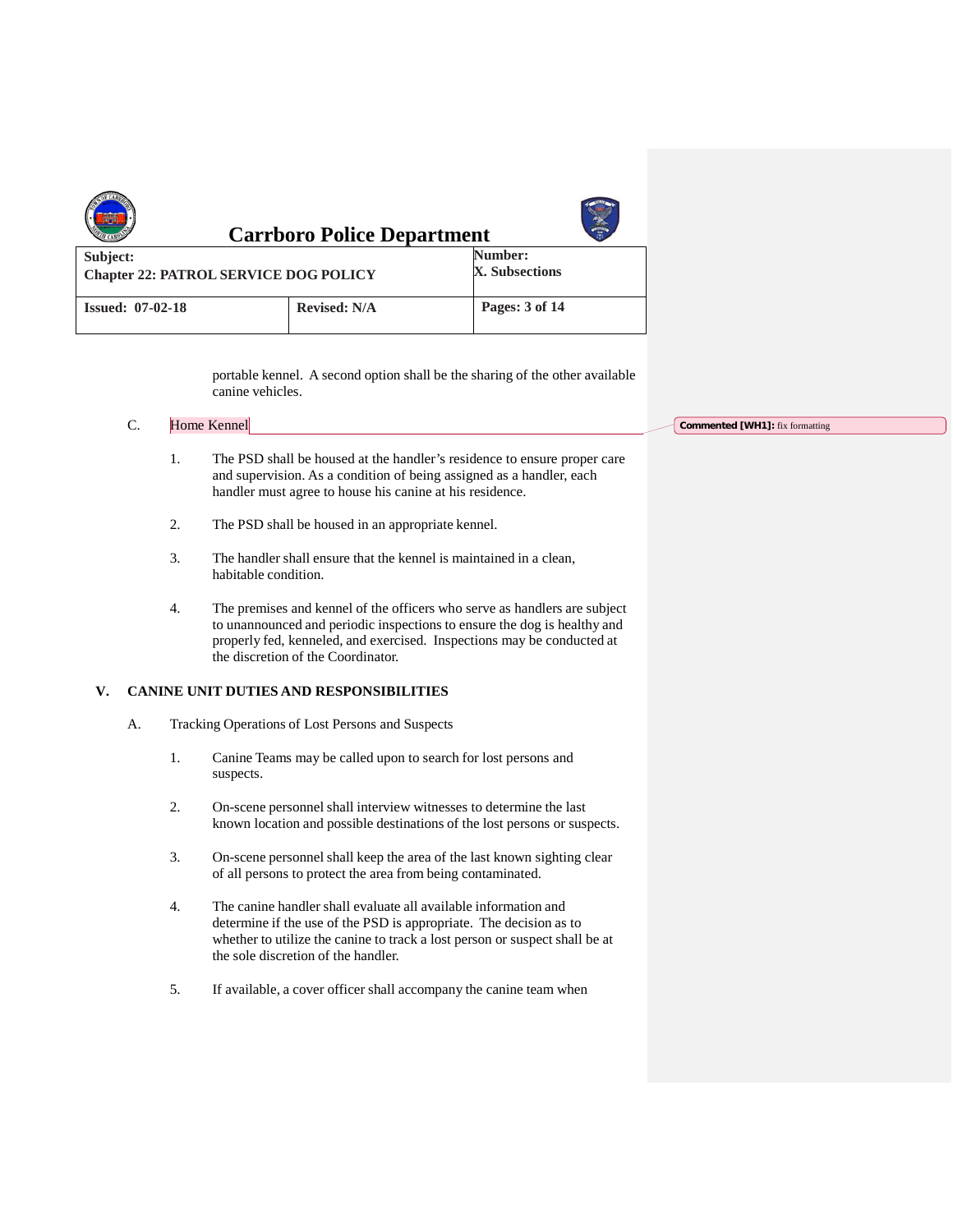|                                                          | <b>Carrboro Police Department</b> |                           |
|----------------------------------------------------------|-----------------------------------|---------------------------|
| Subject:<br><b>Chapter 22: PATROL SERVICE DOG POLICY</b> |                                   | Number:<br>X. Subsections |
| <b>Issued: 07-02-18</b>                                  | <b>Revised: N/A</b>               | Pages: 3 of 14            |

portable kennel. A second option shall be the sharing of the other available canine vehicles.

| r | Home Kennel |  |
|---|-------------|--|
|   |             |  |

- 1. The PSD shall be housed at the handler's residence to ensure proper care and supervision. As a condition of being assigned as a handler, each handler must agree to house his canine at his residence.
- 2. The PSD shall be housed in an appropriate kennel.
- 3. The handler shall ensure that the kennel is maintained in a clean, habitable condition.
- 4. The premises and kennel of the officers who serve as handlers are subject to unannounced and periodic inspections to ensure the dog is healthy and properly fed, kenneled, and exercised. Inspections may be conducted at the discretion of the Coordinator.

#### **V. CANINE UNIT DUTIES AND RESPONSIBILITIES**

- A. Tracking Operations of Lost Persons and Suspects
	- 1. Canine Teams may be called upon to search for lost persons and suspects.
	- 2. On-scene personnel shall interview witnesses to determine the last known location and possible destinations of the lost persons or suspects.
	- 3. On-scene personnel shall keep the area of the last known sighting clear of all persons to protect the area from being contaminated.
	- 4. The canine handler shall evaluate all available information and determine if the use of the PSD is appropriate. The decision as to whether to utilize the canine to track a lost person or suspect shall be at the sole discretion of the handler.
	- 5. If available, a cover officer shall accompany the canine team when

**Commented [WH1]:** fix formatting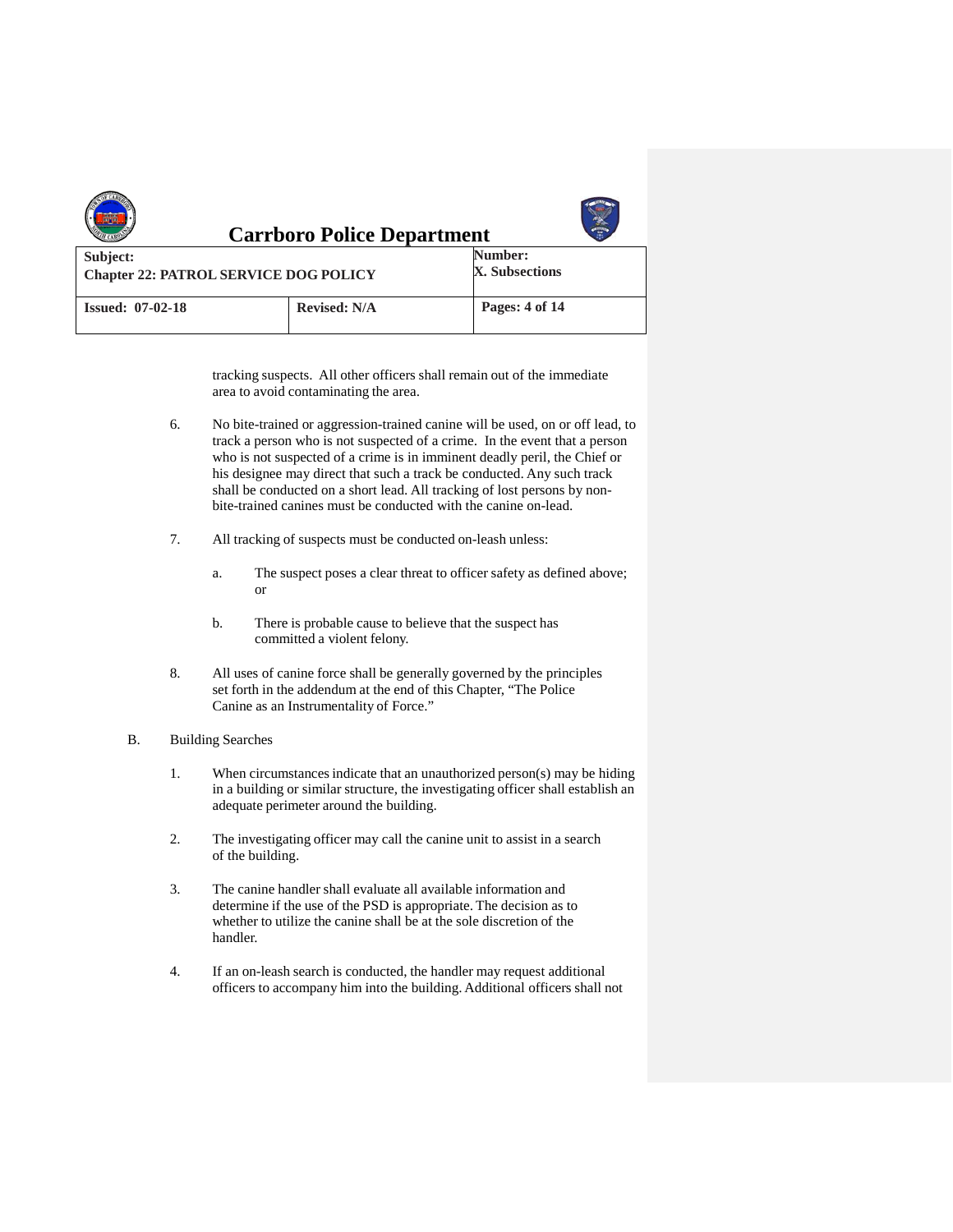|                                                          | <b>Carrboro Police Department</b> |                           |
|----------------------------------------------------------|-----------------------------------|---------------------------|
| Subject:<br><b>Chapter 22: PATROL SERVICE DOG POLICY</b> |                                   | Number:<br>X. Subsections |
| <b>Issued: 07-02-18</b>                                  | <b>Revised: N/A</b>               | Pages: 4 of 14            |

tracking suspects. All other officers shall remain out of the immediate area to avoid contaminating the area.

- 6. No bite-trained or aggression-trained canine will be used, on or off lead, to track a person who is not suspected of a crime. In the event that a person who is not suspected of a crime is in imminent deadly peril, the Chief or his designee may direct that such a track be conducted. Any such track shall be conducted on a short lead. All tracking of lost persons by nonbite-trained canines must be conducted with the canine on-lead.
- 7. All tracking of suspects must be conducted on-leash unless:
	- a. The suspect poses a clear threat to officer safety as defined above; or
	- b. There is probable cause to believe that the suspect has committed a violent felony.
- 8. All uses of canine force shall be generally governed by the principles set forth in the addendum at the end of this Chapter, "The Police Canine as an Instrumentality of Force."

#### B. Building Searches

- 1. When circumstancesindicate that an unauthorized person(s) may be hiding in a building or similar structure, the investigating officer shall establish an adequate perimeter around the building.
- 2. The investigating officer may call the canine unit to assist in a search of the building.
- 3. The canine handler shall evaluate all available information and determine if the use of the PSD is appropriate. The decision as to whether to utilize the canine shall be at the sole discretion of the handler.
- 4. If an on-leash search is conducted, the handler may request additional officers to accompany him into the building. Additional officers shall not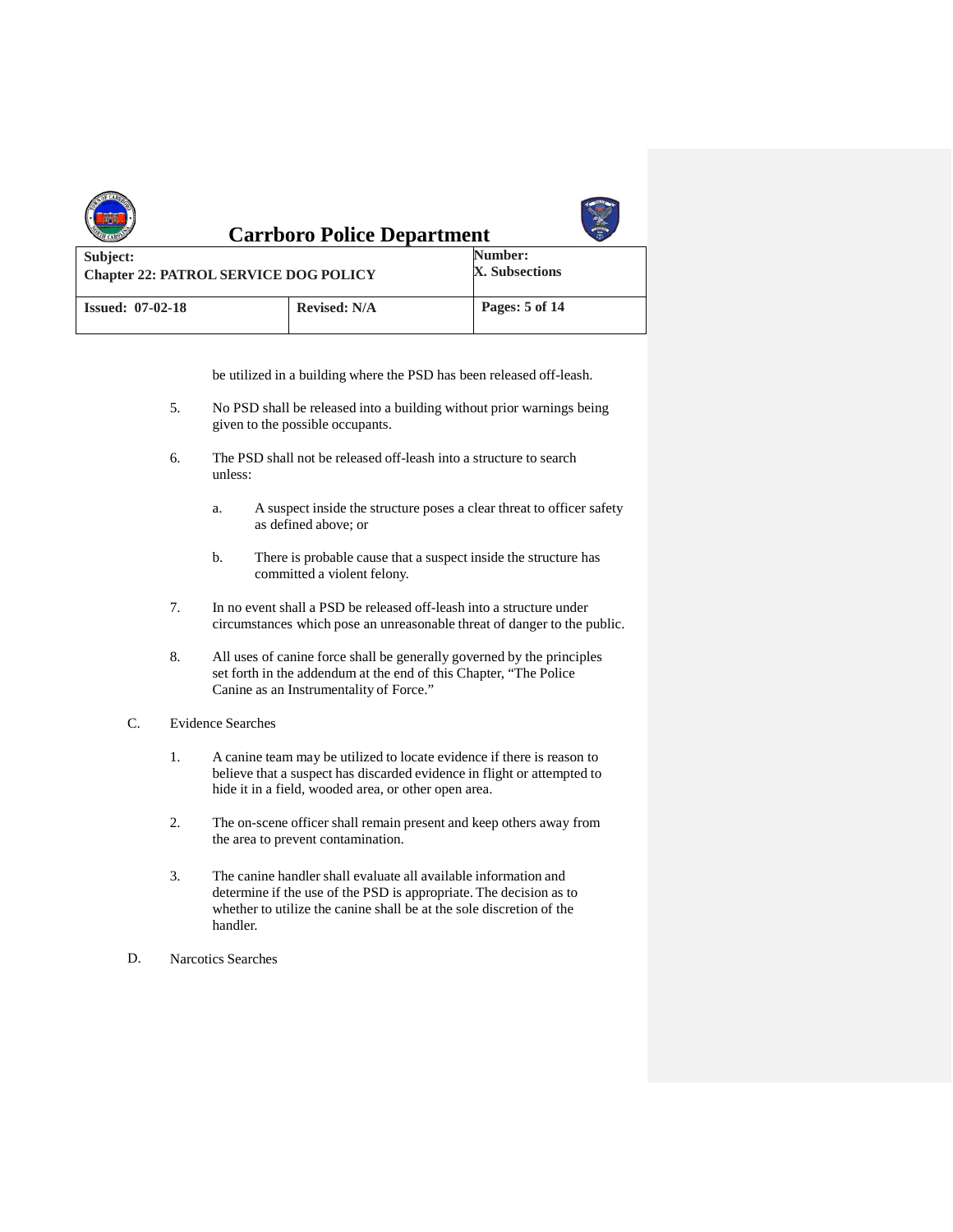|                                                          | <b>Carrboro Police Department</b> |                           |
|----------------------------------------------------------|-----------------------------------|---------------------------|
| Subject:<br><b>Chapter 22: PATROL SERVICE DOG POLICY</b> |                                   | Number:<br>X. Subsections |
| <b>Issued: 07-02-18</b>                                  | <b>Revised: N/A</b>               | Pages: 5 of 14            |

be utilized in a building where the PSD has been released off-leash.

- 5. No PSD shall be released into a building without prior warnings being given to the possible occupants.
- 6. The PSD shall not be released off-leash into a structure to search unless:
	- a. A suspect inside the structure poses a clear threat to officer safety as defined above; or
	- b. There is probable cause that a suspect inside the structure has committed a violent felony.
- 7. In no event shall a PSD be released off-leash into a structure under circumstances which pose an unreasonable threat of danger to the public.
- 8. All uses of canine force shall be generally governed by the principles set forth in the addendum at the end of this Chapter, "The Police Canine as an Instrumentality of Force."
- C. Evidence Searches
	- 1. A canine team may be utilized to locate evidence if there is reason to believe that a suspect has discarded evidence in flight or attempted to hide it in a field, wooded area, or other open area.
	- 2. The on-scene officer shall remain present and keep others away from the area to prevent contamination.
	- 3. The canine handler shall evaluate all available information and determine if the use of the PSD is appropriate. The decision as to whether to utilize the canine shall be at the sole discretion of the handler.
- D. Narcotics Searches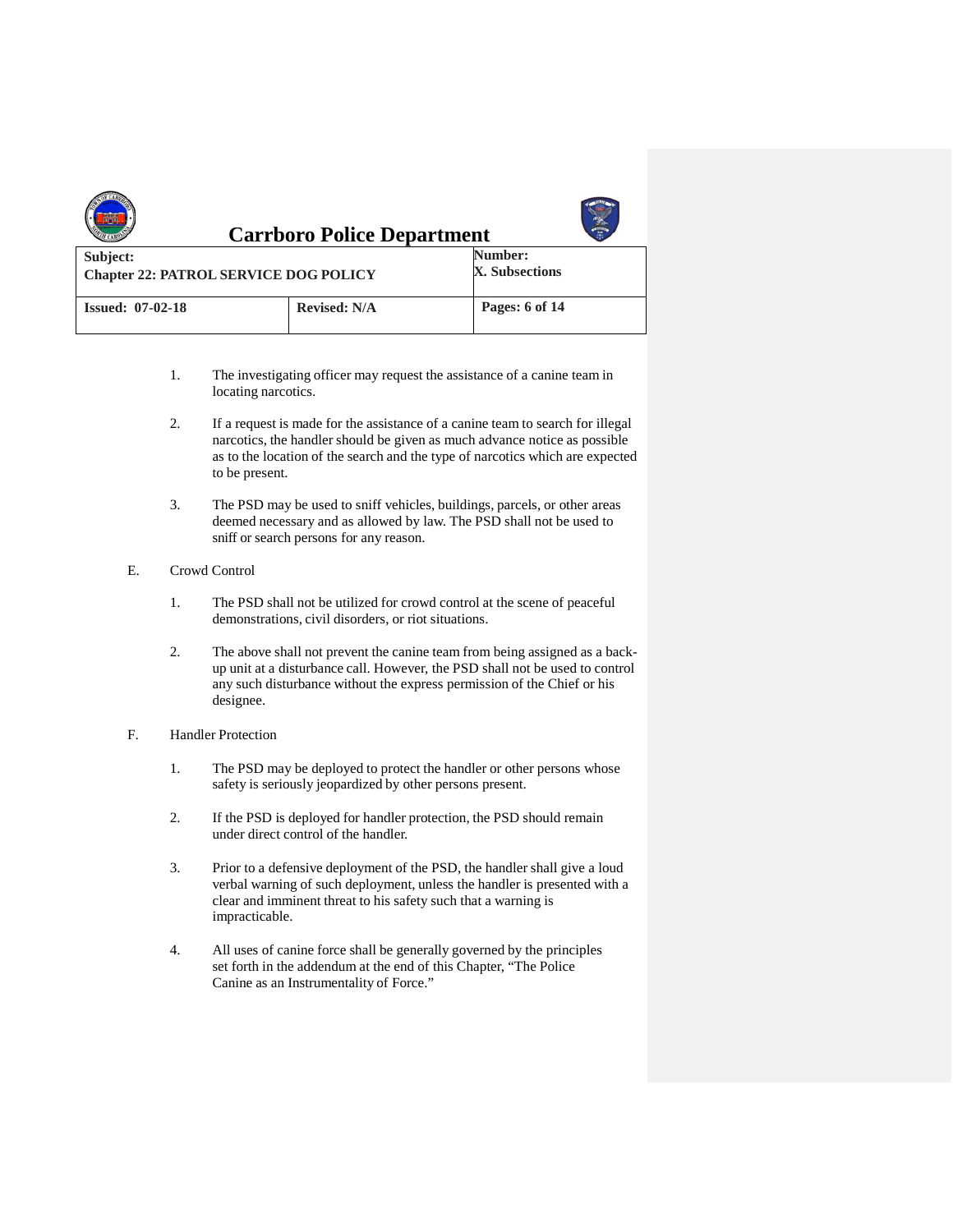|                                                          | <b>Carrboro Police Department</b> |                           |
|----------------------------------------------------------|-----------------------------------|---------------------------|
| Subject:<br><b>Chapter 22: PATROL SERVICE DOG POLICY</b> |                                   | Number:<br>X. Subsections |
| <b>Issued: 07-02-18</b>                                  | <b>Revised: N/A</b>               | Pages: 6 of 14            |

- 1. The investigating officer may request the assistance of a canine team in locating narcotics.
- 2. If a request is made for the assistance of a canine team to search for illegal narcotics, the handler should be given as much advance notice as possible as to the location of the search and the type of narcotics which are expected to be present.
- 3. The PSD may be used to sniff vehicles, buildings, parcels, or other areas deemed necessary and as allowed by law. The PSD shall not be used to sniff or search persons for any reason.
- E. Crowd Control
	- 1. The PSD shall not be utilized for crowd control at the scene of peaceful demonstrations, civil disorders, or riot situations.
	- 2. The above shall not prevent the canine team from being assigned as a backup unit at a disturbance call. However, the PSD shall not be used to control any such disturbance without the express permission of the Chief or his designee.
- F. Handler Protection
	- 1. The PSD may be deployed to protect the handler or other persons whose safety is seriously jeopardized by other persons present.
	- 2. If the PSD is deployed for handler protection, the PSD should remain under direct control of the handler.
	- 3. Prior to a defensive deployment of the PSD, the handler shall give a loud verbal warning of such deployment, unless the handler is presented with a clear and imminent threat to his safety such that a warning is impracticable.
	- 4. All uses of canine force shall be generally governed by the principles set forth in the addendum at the end of this Chapter, "The Police Canine as an Instrumentality of Force."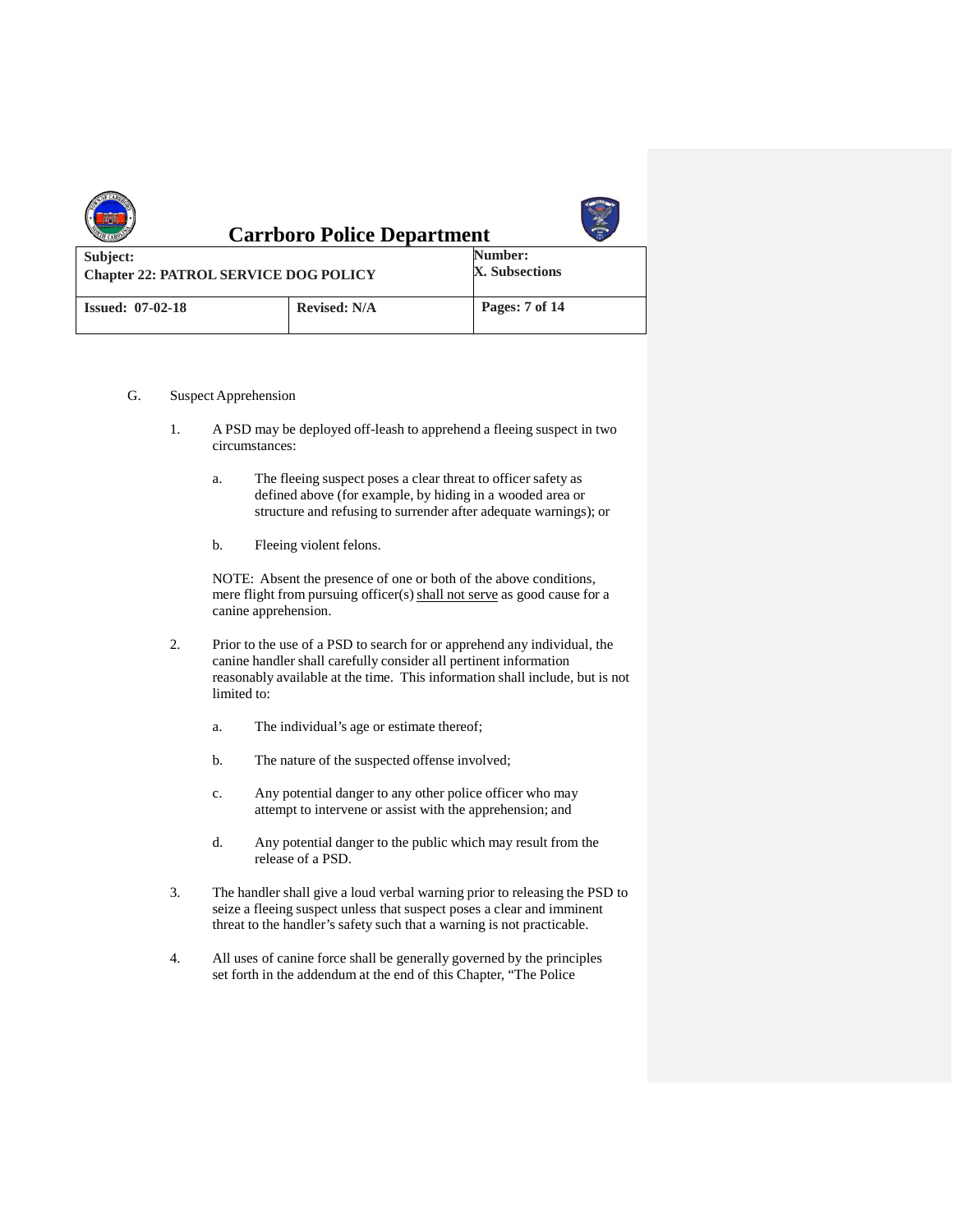|                                                          | <b>Carrboro Police Department</b> |                           |
|----------------------------------------------------------|-----------------------------------|---------------------------|
| Subject:<br><b>Chapter 22: PATROL SERVICE DOG POLICY</b> |                                   | Number:<br>X. Subsections |
| <b>Issued: 07-02-18</b>                                  | <b>Revised: N/A</b>               | Pages: 7 of 14            |

- G. Suspect Apprehension
	- 1. A PSD may be deployed off-leash to apprehend a fleeing suspect in two circumstances:
		- a. The fleeing suspect poses a clear threat to officer safety as defined above (for example, by hiding in a wooded area or structure and refusing to surrender after adequate warnings); or
		- b. Fleeing violent felons.

NOTE: Absent the presence of one or both of the above conditions, mere flight from pursuing officer(s) shall not serve as good cause for a canine apprehension.

- 2. Prior to the use of a PSD to search for or apprehend any individual, the canine handler shall carefully consider all pertinent information reasonably available at the time. This information shall include, but is not limited to:
	- a. The individual's age or estimate thereof;
	- b. The nature of the suspected offense involved;
	- c. Any potential danger to any other police officer who may attempt to intervene or assist with the apprehension; and
	- d. Any potential danger to the public which may result from the release of a PSD.
- 3. The handler shall give a loud verbal warning prior to releasing the PSD to seize a fleeing suspect unless that suspect poses a clear and imminent threat to the handler's safety such that a warning is not practicable.
- 4. All uses of canine force shall be generally governed by the principles set forth in the addendum at the end of this Chapter, "The Police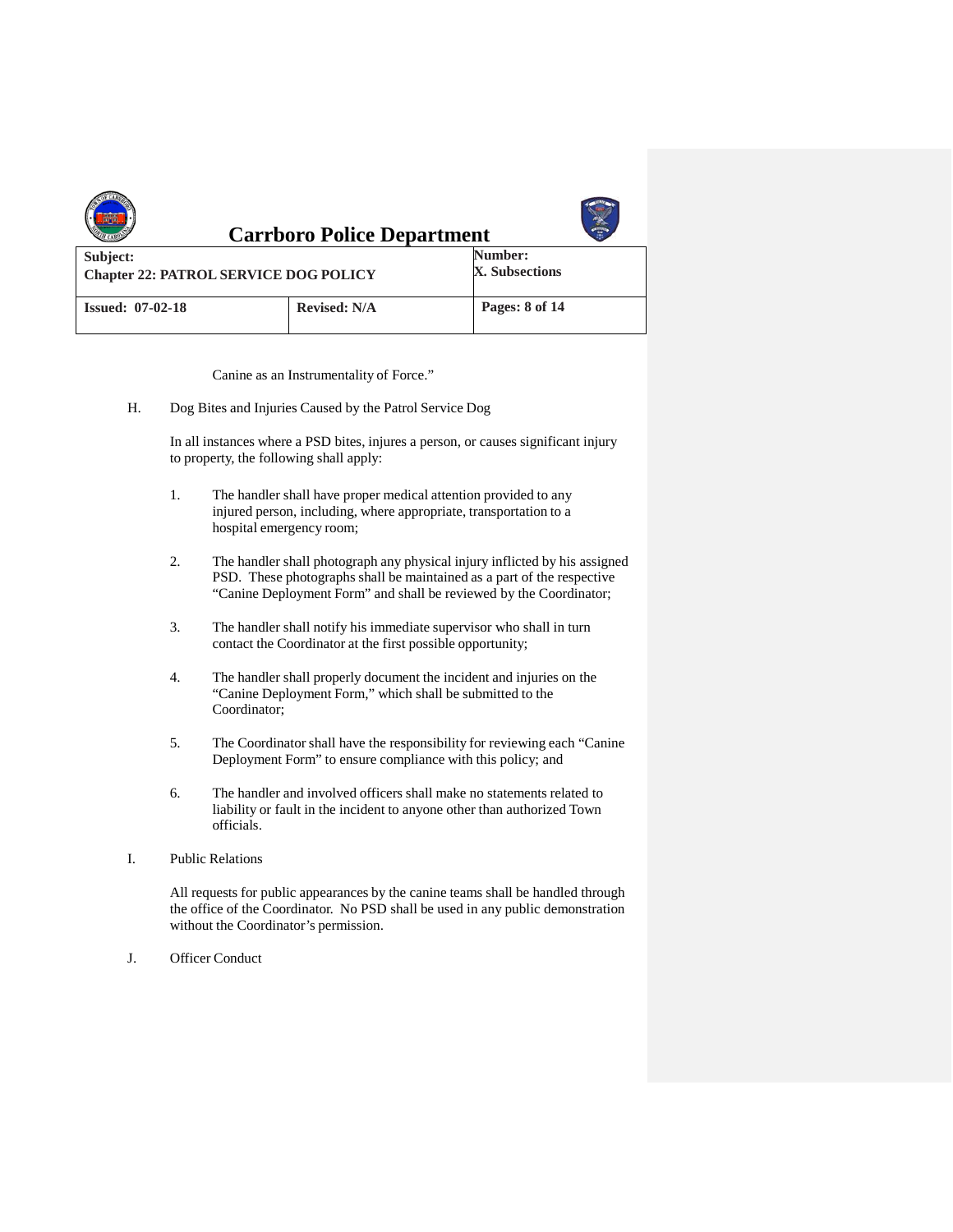|                                                          | <b>Carrboro Police Department</b> |                           |
|----------------------------------------------------------|-----------------------------------|---------------------------|
| Subject:<br><b>Chapter 22: PATROL SERVICE DOG POLICY</b> |                                   | Number:<br>X. Subsections |
| <b>Issued: 07-02-18</b>                                  | <b>Revised: N/A</b>               | Pages: 8 of 14            |

Canine as an Instrumentality of Force."

H. Dog Bites and Injuries Caused by the Patrol Service Dog

In all instances where a PSD bites, injures a person, or causes significant injury to property, the following shall apply:

- 1. The handler shall have proper medical attention provided to any injured person, including, where appropriate, transportation to a hospital emergency room;
- 2. The handler shall photograph any physical injury inflicted by his assigned PSD. These photographs shall be maintained as a part of the respective "Canine Deployment Form" and shall be reviewed by the Coordinator;
- 3. The handler shall notify his immediate supervisor who shall in turn contact the Coordinator at the first possible opportunity;
- 4. The handler shall properly document the incident and injuries on the "Canine Deployment Form," which shall be submitted to the Coordinator;
- 5. The Coordinator shall have the responsibility for reviewing each "Canine Deployment Form" to ensure compliance with this policy; and
- 6. The handler and involved officers shall make no statements related to liability or fault in the incident to anyone other than authorized Town officials.
- I. Public Relations

All requests for public appearances by the canine teams shall be handled through the office of the Coordinator. No PSD shall be used in any public demonstration without the Coordinator's permission.

J. Officer Conduct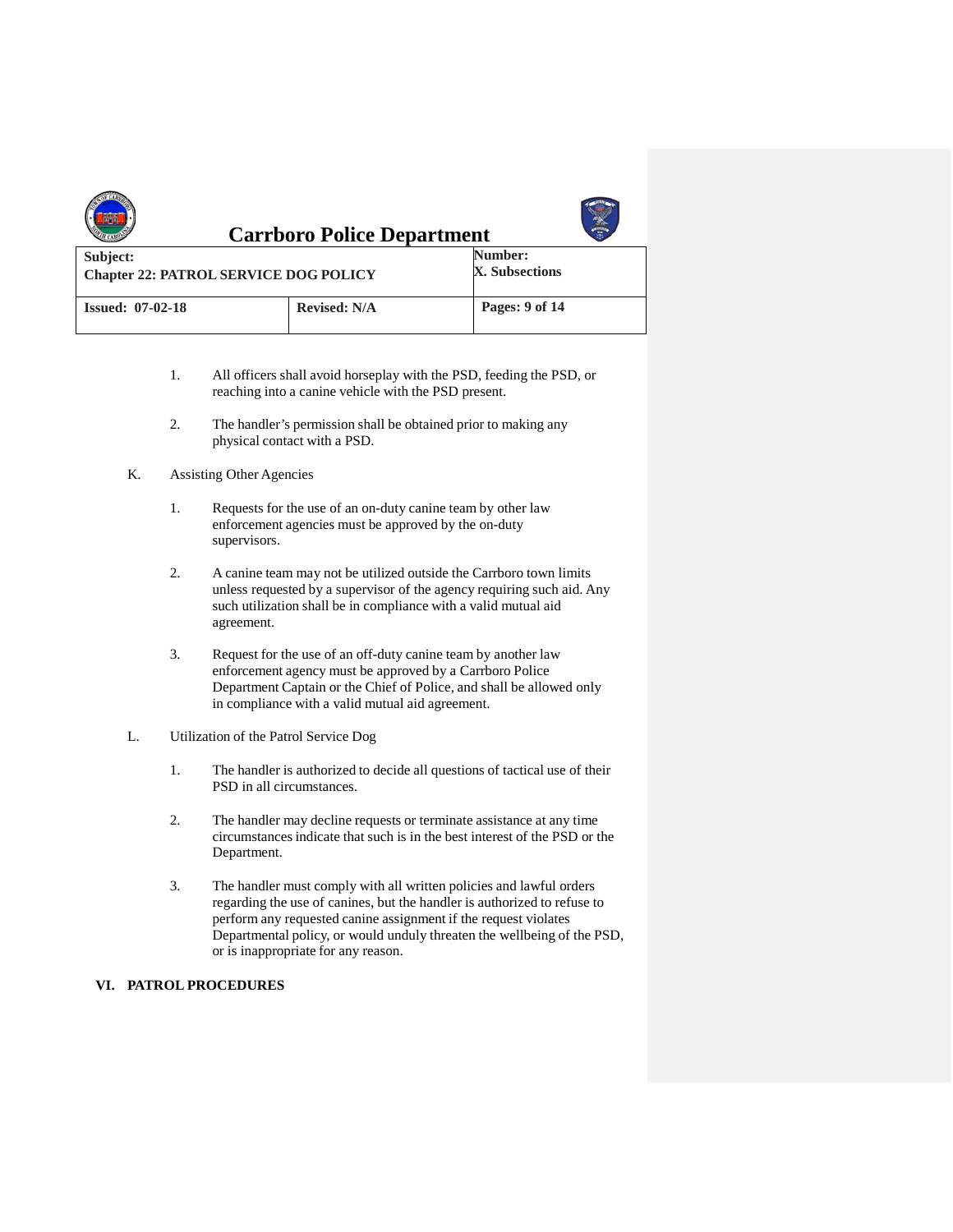|                                                          | <b>Carrboro Police Department</b> |                           |
|----------------------------------------------------------|-----------------------------------|---------------------------|
| Subject:<br><b>Chapter 22: PATROL SERVICE DOG POLICY</b> |                                   | Number:<br>X. Subsections |
| <b>Issued: 07-02-18</b>                                  | <b>Revised: N/A</b>               | Pages: 9 of 14            |

- 1. All officers shall avoid horseplay with the PSD, feeding the PSD, or reaching into a canine vehicle with the PSD present.
- 2. The handler's permission shall be obtained prior to making any physical contact with a PSD.

#### K. Assisting Other Agencies

- 1. Requests for the use of an on-duty canine team by other law enforcement agencies must be approved by the on-duty supervisors.
- 2. A canine team may not be utilized outside the Carrboro town limits unless requested by a supervisor of the agency requiring such aid. Any such utilization shall be in compliance with a valid mutual aid agreement.
- 3. Request for the use of an off-duty canine team by another law enforcement agency must be approved by a Carrboro Police Department Captain or the Chief of Police, and shall be allowed only in compliance with a valid mutual aid agreement.

#### L. Utilization of the Patrol Service Dog

- 1. The handler is authorized to decide all questions of tactical use of their PSD in all circumstances.
- 2. The handler may decline requests or terminate assistance at any time circumstancesindicate that such is in the best interest of the PSD or the Department.
- 3. The handler must comply with all written policies and lawful orders regarding the use of canines, but the handler is authorized to refuse to perform any requested canine assignment if the request violates Departmental policy, or would unduly threaten the wellbeing of the PSD, or is inappropriate for any reason.

## **VI. PATROL PROCEDURES**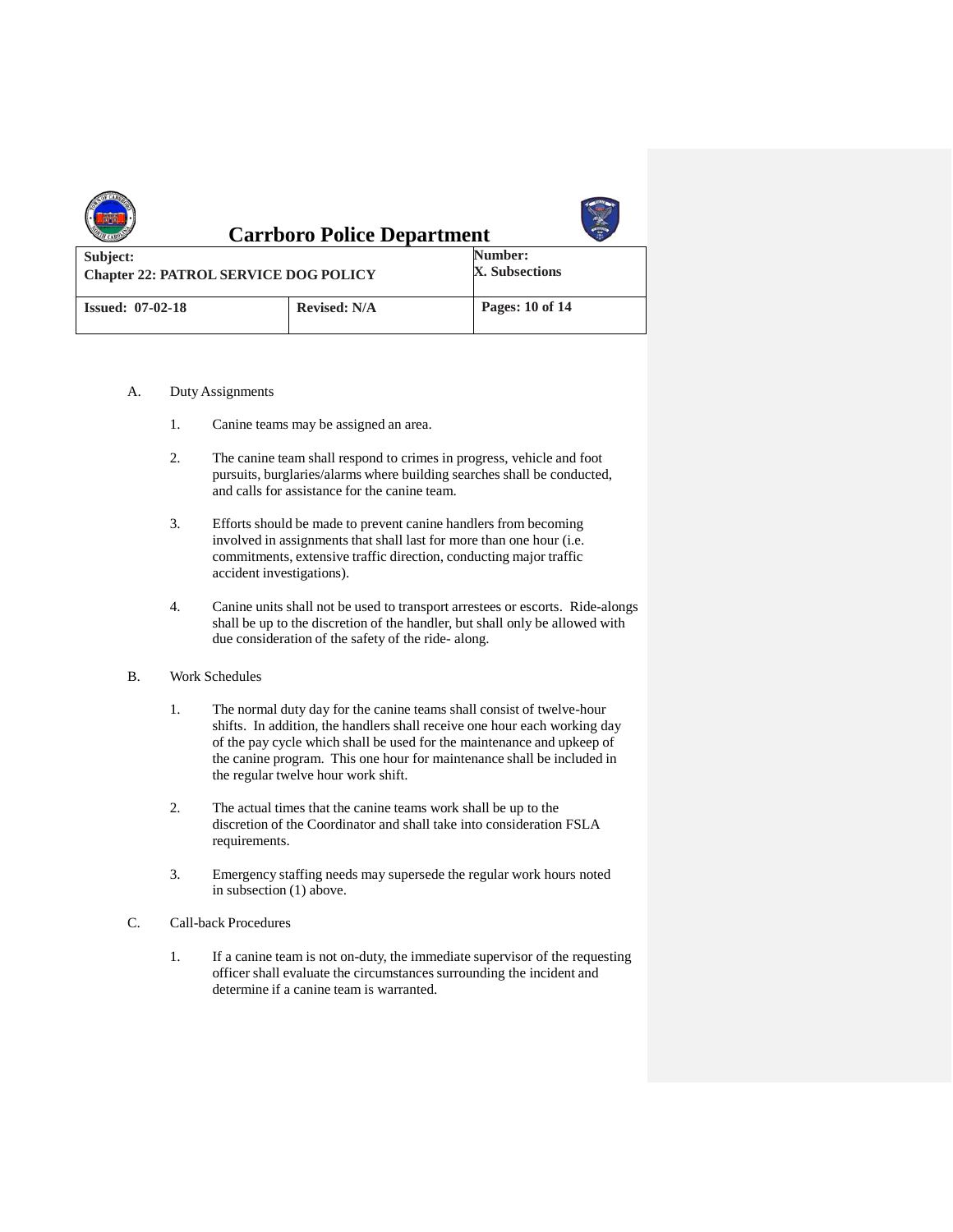|                                                          | <b>Carrboro Police Department</b> |                           |
|----------------------------------------------------------|-----------------------------------|---------------------------|
| Subject:<br><b>Chapter 22: PATROL SERVICE DOG POLICY</b> |                                   | Number:<br>X. Subsections |
| <b>Issued: 07-02-18</b>                                  | <b>Revised: N/A</b>               | Pages: 10 of 14           |

- A. Duty Assignments
	- 1. Canine teams may be assigned an area.
	- 2. The canine team shall respond to crimes in progress, vehicle and foot pursuits, burglaries/alarms where building searches shall be conducted, and calls for assistance for the canine team.
	- 3. Efforts should be made to prevent canine handlers from becoming involved in assignments that shall last for more than one hour (i.e. commitments, extensive traffic direction, conducting major traffic accident investigations).
	- 4. Canine units shall not be used to transport arrestees or escorts. Ride-alongs shall be up to the discretion of the handler, but shall only be allowed with due consideration of the safety of the ride- along.

#### B. Work Schedules

- 1. The normal duty day for the canine teams shall consist of twelve-hour shifts. In addition, the handlers shall receive one hour each working day of the pay cycle which shall be used for the maintenance and upkeep of the canine program. This one hour for maintenance shall be included in the regular twelve hour work shift.
- 2. The actual times that the canine teams work shall be up to the discretion of the Coordinator and shall take into consideration FSLA requirements.
- 3. Emergency staffing needs may supersede the regular work hours noted in subsection (1) above.
- C. Call-back Procedures
	- 1. If a canine team is not on-duty, the immediate supervisor of the requesting officer shall evaluate the circumstances surrounding the incident and determine if a canine team is warranted.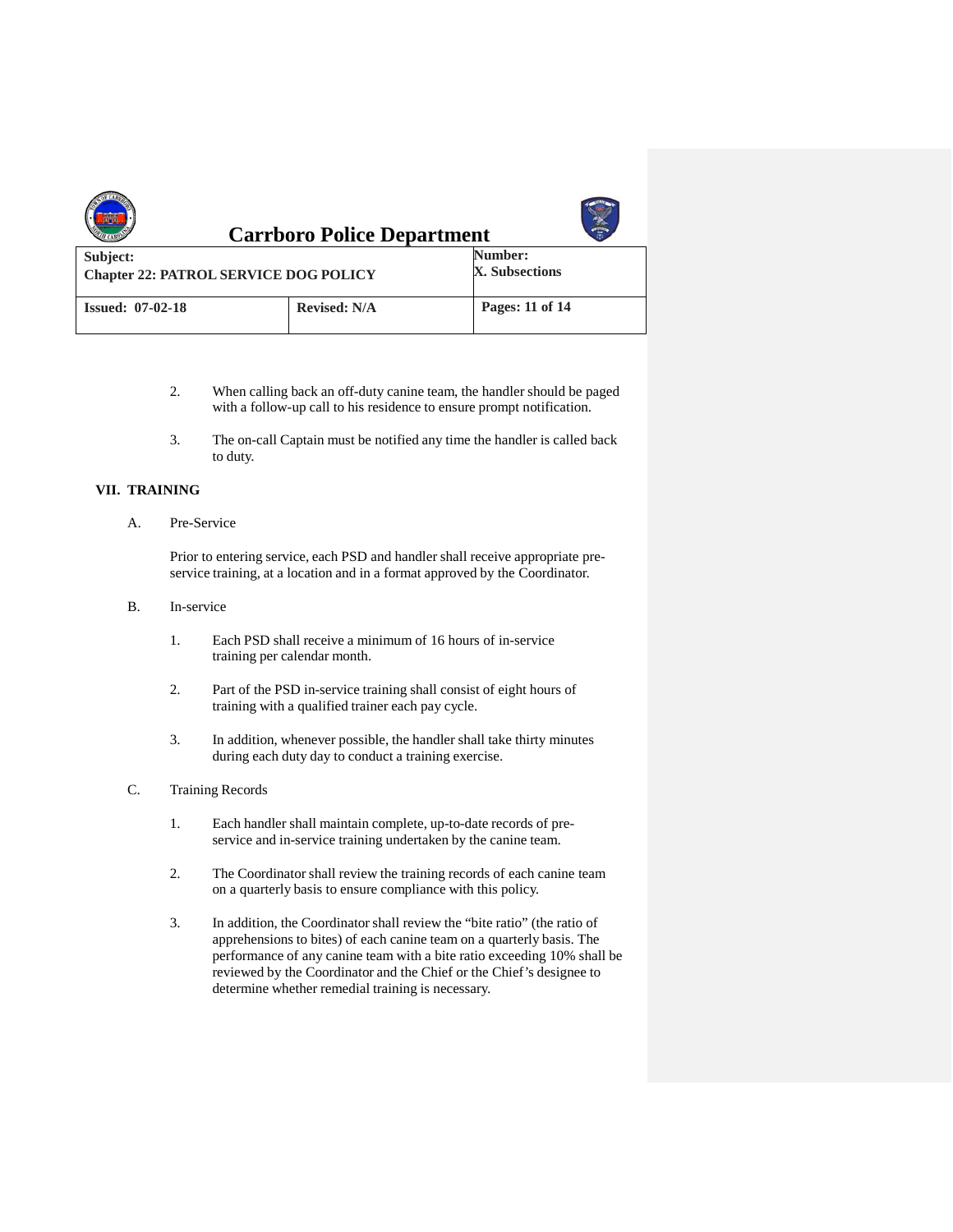|                                                          | <b>Carrboro Police Department</b> |                           |
|----------------------------------------------------------|-----------------------------------|---------------------------|
| Subject:<br><b>Chapter 22: PATROL SERVICE DOG POLICY</b> |                                   | Number:<br>X. Subsections |
| <b>Issued: 07-02-18</b>                                  | <b>Revised: N/A</b>               | Pages: 11 of 14           |

- 2. When calling back an off-duty canine team, the handler should be paged with a follow-up call to his residence to ensure prompt notification.
- 3. The on-call Captain must be notified any time the handler is called back to duty.

# **VII. TRAINING**

A. Pre-Service

Prior to entering service, each PSD and handler shall receive appropriate preservice training, at a location and in a format approved by the Coordinator.

- B. In-service
	- 1. Each PSD shall receive a minimum of 16 hours of in-service training per calendar month.
	- 2. Part of the PSD in-service training shall consist of eight hours of training with a qualified trainer each pay cycle.
	- 3. In addition, whenever possible, the handler shall take thirty minutes during each duty day to conduct a training exercise.
- C. Training Records
	- 1. Each handler shall maintain complete, up-to-date records of preservice and in-service training undertaken by the canine team.
	- 2. The Coordinator shall review the training records of each canine team on a quarterly basis to ensure compliance with this policy.
	- 3. In addition, the Coordinator shall review the "bite ratio" (the ratio of apprehensions to bites) of each canine team on a quarterly basis. The performance of any canine team with a bite ratio exceeding 10% shall be reviewed by the Coordinator and the Chief or the Chief's designee to determine whether remedial training is necessary.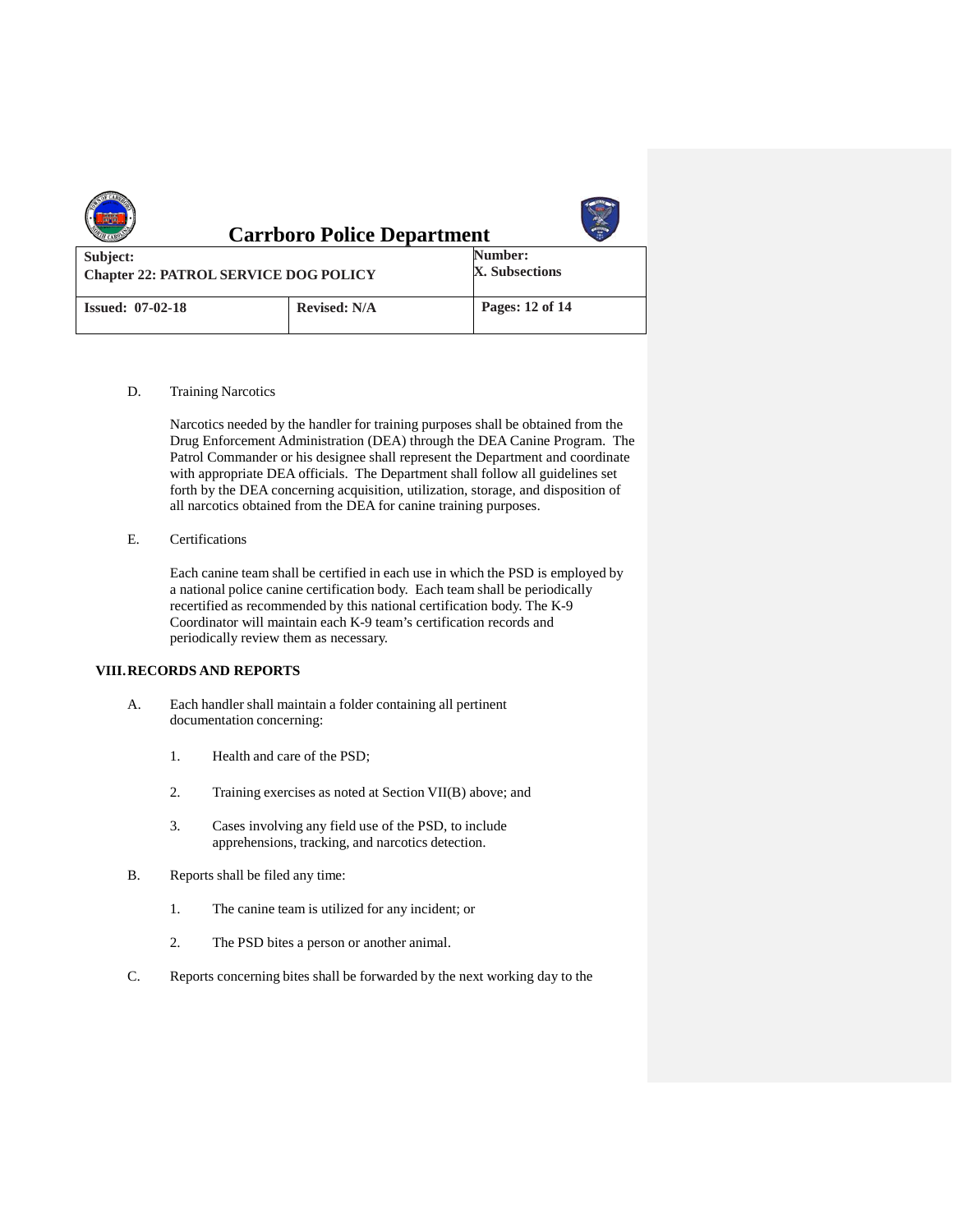| <b>Carrboro Police Department</b>                        |                     |                           |  |  |
|----------------------------------------------------------|---------------------|---------------------------|--|--|
| Subject:<br><b>Chapter 22: PATROL SERVICE DOG POLICY</b> |                     | Number:<br>X. Subsections |  |  |
| <b>Issued: 07-02-18</b>                                  | <b>Revised: N/A</b> | Pages: 12 of 14           |  |  |

D. Training Narcotics

Narcotics needed by the handler for training purposes shall be obtained from the Drug Enforcement Administration (DEA) through the DEA Canine Program. The Patrol Commander or his designee shall represent the Department and coordinate with appropriate DEA officials. The Department shall follow all guidelines set forth by the DEA concerning acquisition, utilization, storage, and disposition of all narcotics obtained from the DEA for canine training purposes.

E. Certifications

Each canine team shall be certified in each use in which the PSD is employed by a national police canine certification body. Each team shall be periodically recertified as recommended by this national certification body. The K-9 Coordinator will maintain each K-9 team's certification records and periodically review them as necessary.

# **VIII.RECORDS AND REPORTS**

- A. Each handler shall maintain a folder containing all pertinent documentation concerning:
	- 1. Health and care of the PSD;
	- 2. Training exercises as noted at Section VII(B) above; and
	- 3. Cases involving any field use of the PSD, to include apprehensions, tracking, and narcotics detection.
- B. Reports shall be filed any time:
	- 1. The canine team is utilized for any incident; or
	- 2. The PSD bites a person or another animal.
- C. Reports concerning bites shall be forwarded by the next working day to the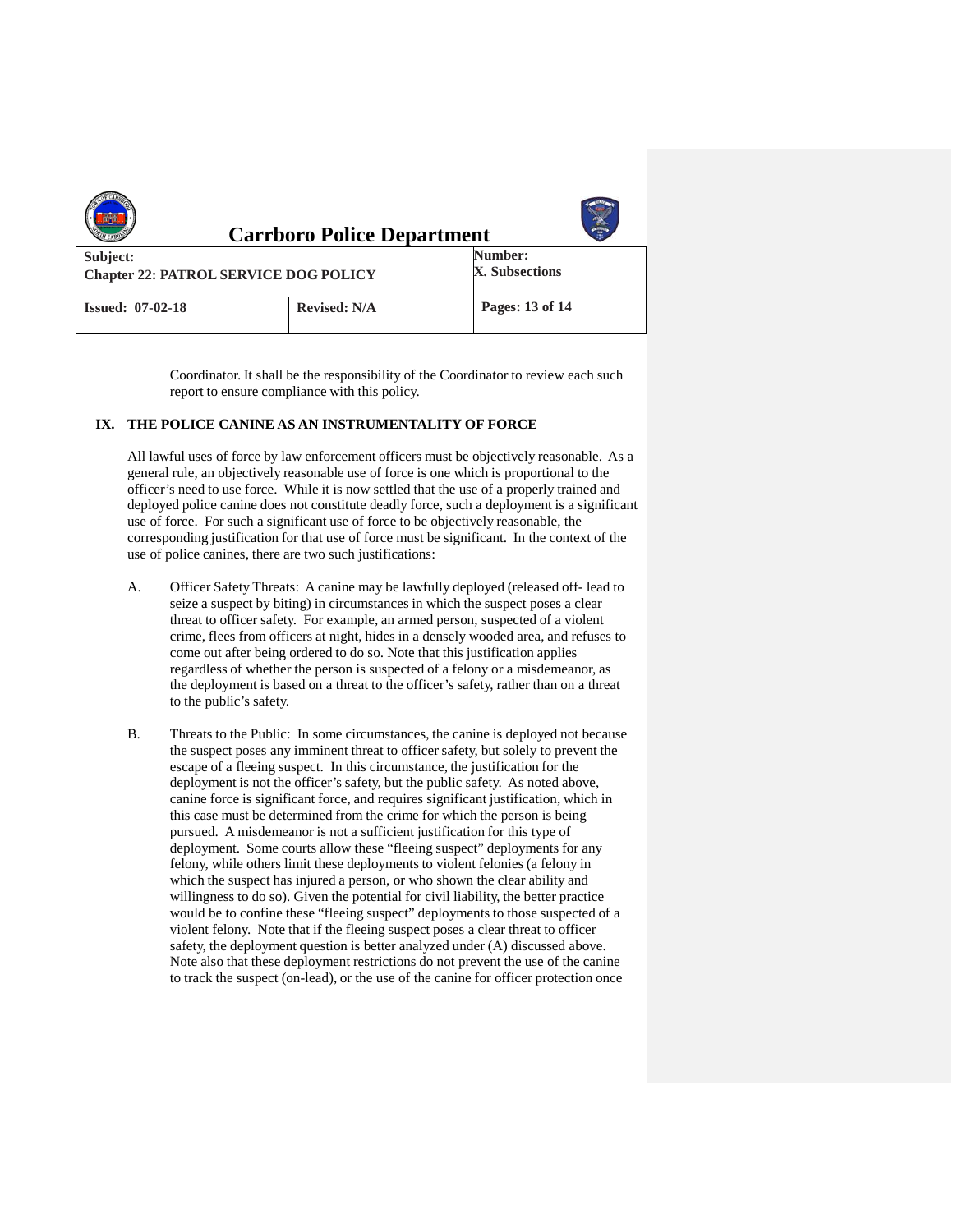| <b>Carrboro Police Department</b>                        |                     |                           |  |  |
|----------------------------------------------------------|---------------------|---------------------------|--|--|
| Subject:<br><b>Chapter 22: PATROL SERVICE DOG POLICY</b> |                     | Number:<br>X. Subsections |  |  |
| <b>Issued: 07-02-18</b>                                  | <b>Revised: N/A</b> | Pages: 13 of 14           |  |  |

Coordinator. It shall be the responsibility of the Coordinator to review each such report to ensure compliance with this policy.

## **IX. THE POLICE CANINE AS AN INSTRUMENTALITY OF FORCE**

All lawful uses of force by law enforcement officers must be objectively reasonable. As a general rule, an objectively reasonable use of force is one which is proportional to the officer's need to use force. While it is now settled that the use of a properly trained and deployed police canine does not constitute deadly force, such a deployment is a significant use of force. For such a significant use of force to be objectively reasonable, the corresponding justification for that use of force must be significant. In the context of the use of police canines, there are two such justifications:

- A. Officer Safety Threats: A canine may be lawfully deployed (released off- lead to seize a suspect by biting) in circumstances in which the suspect poses a clear threat to officer safety. For example, an armed person, suspected of a violent crime, flees from officers at night, hides in a densely wooded area, and refuses to come out after being ordered to do so. Note that this justification applies regardless of whether the person is suspected of a felony or a misdemeanor, as the deployment is based on a threat to the officer's safety, rather than on a threat to the public's safety.
- B. Threats to the Public: In some circumstances, the canine is deployed not because the suspect poses any imminent threat to officer safety, but solely to prevent the escape of a fleeing suspect. In this circumstance, the justification for the deployment is not the officer's safety, but the public safety. As noted above, canine force is significant force, and requires significant justification, which in this case must be determined from the crime for which the person is being pursued. A misdemeanor is not a sufficient justification for this type of deployment. Some courts allow these "fleeing suspect" deployments for any felony, while others limit these deployments to violent felonies (a felony in which the suspect has injured a person, or who shown the clear ability and willingness to do so). Given the potential for civil liability, the better practice would be to confine these "fleeing suspect" deployments to those suspected of a violent felony. Note that if the fleeing suspect poses a clear threat to officer safety, the deployment question is better analyzed under (A) discussed above. Note also that these deployment restrictions do not prevent the use of the canine to track the suspect (on-lead), or the use of the canine for officer protection once